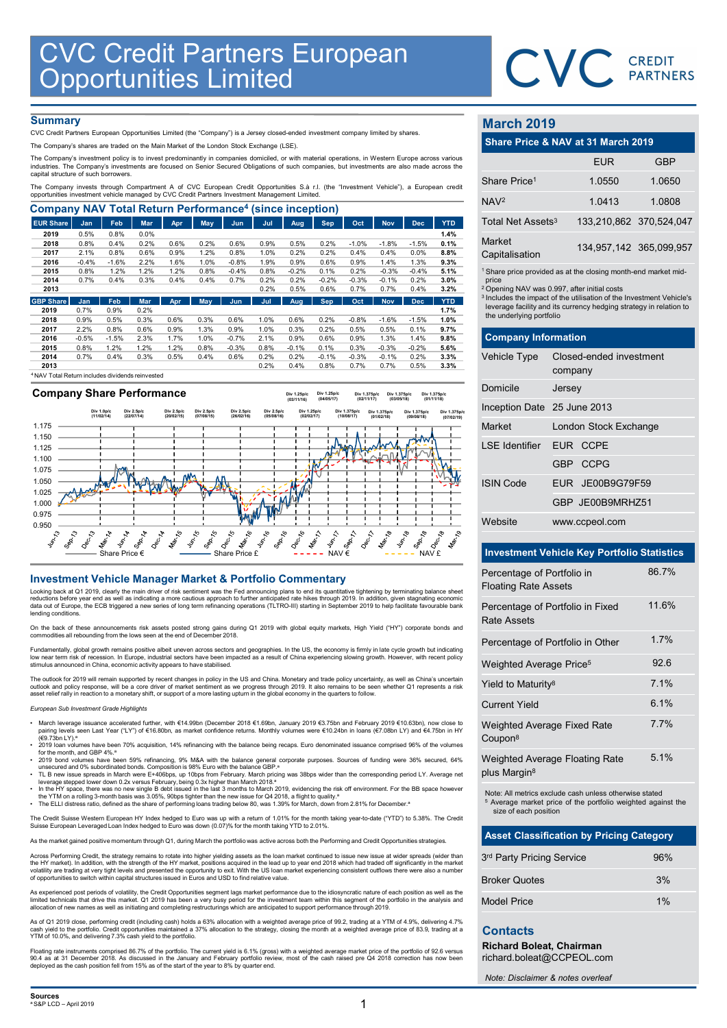

# **Summary**

| <b>CVC Credit Partners European</b><br>Opportunities Limited<br>CVC CREDIT<br><b>Summary</b><br><b>March 2019</b><br>CVC Credit Partners European Opportunities Limited (the "Company") is a Jersey closed-ended investment company limited by shares.<br>Share Price & NAV at 31 March 2019<br>The Company's shares are traded on the Main Market of the London Stock Exchange (LSE).<br>The Company's investment policy is to invest predominantly in companies domiciled, or with material operations, in Western Europe across various<br><b>EUR</b><br><b>GBP</b><br>industries. The Company's investments are focused on Senior Secured Obligations of such companies, but investments are also made across the<br>capital structure of such borrowers.<br>Share Price <sup>1</sup><br>1.0550<br>The Company invests through Compartment A of CVC European Credit Opportunities S.à r.l. (the "Investment Vehicle"), a European credit<br>opportunities investment vehicle managed by CVC Credit Partners Investment Management Limited.<br>1.0413<br>1.0808<br>NAV <sup>2</sup><br><b>Company NAV Total Return Performance<sup>4</sup> (since inception)</b><br>Total Net Assets <sup>3</sup><br>133,210,862 370,524,04<br><b>EUR Share</b><br>Feb<br><b>Mar</b><br>May<br><b>Sep</b><br><b>Dec</b><br><b>YTD</b><br>Jan<br>Apr<br><b>Jun</b><br>Jul<br>Aug<br>Oct<br><b>Nov</b><br>0.5%<br>2019<br>0.8%<br>0.0%<br>1.4%<br>Market<br>0.8%<br>0.2%<br>2018<br>0.4%<br>0.6%<br>0.2%<br>0.6%<br>0.9%<br>0.5%<br>0.2%<br>$-1.0%$<br>$-1.8%$<br>$-1.5%$<br>0.1%<br>134,957,142 365,099,95<br>0.6%<br>1.2%<br>0.2%<br>0.2%<br>2017<br>2.1%<br>0.8%<br>0.9%<br>0.8%<br>1.0%<br>0.4%<br>0.4%<br>0.0%<br>8.8%<br>Capitalisation<br>$-0.4%$<br>$-1.6%$<br>2.2%<br>1.0%<br>1.9%<br>0.9%<br>0.6%<br>0.9%<br>1.3%<br>9.3%<br>2016<br>1.6%<br>$-0.8%$<br>1.4%<br><sup>1</sup> Share price provided as at the closing month-end market mid<br>2015<br>0.8%<br>1.2%<br>1.2%<br>1.2%<br>0.8%<br>$-0.4%$<br>0.8%<br>$-0.2%$<br>0.1%<br>0.2%<br>$-0.3%$<br>$-0.4%$<br>5.1%<br>2014<br>0.7%<br>0.4%<br>0.3%<br>0.4%<br>0.4%<br>0.7%<br>0.2%<br>0.2%<br>$-0.2%$<br>$-0.3%$<br>$-0.1%$<br>0.2%<br>3.0%<br>price<br>0.2%<br>0.5%<br>0.6%<br>0.7%<br>0.7%<br>0.4%<br>2013<br>3.2%<br><sup>2</sup> Opening NAV was 0.997, after initial costs<br><sup>3</sup> Includes the impact of the utilisation of the Investment Vehicle<br><b>GBP Share</b><br>Feb<br>Mar<br>May<br>Sep<br><b>Nov</b><br><b>Dec</b><br><b>YTD</b><br><b>Jan</b><br>Apr<br>Jun<br>Jul<br>Aug<br>Oct<br>leverage facility and its currency hedging strategy in relation to<br>0.7%<br>0.2%<br>2019<br>0.9%<br>1.7%<br>the underlying portfolio<br>0.9%<br>0.5%<br>0.3%<br>0.6%<br>0.6%<br>1.0%<br>0.2%<br>$-1.5%$<br>1.0%<br>2018<br>0.3%<br>0.6%<br>$-0.8%$<br>$-1.6%$<br>2.2%<br>0.8%<br>0.9%<br>1.3%<br>0.9%<br>1.0%<br>0.3%<br>0.2%<br>0.5%<br>0.5%<br>2017<br>0.6%<br>0.1%<br>9.7%<br><b>Company Information</b><br>$-0.5%$<br>$-1.5%$<br>2.3%<br>1.7%<br>1.0%<br>$-0.7%$<br>2.1%<br>0.9%<br>0.6%<br>0.9%<br>1.4%<br>2016<br>1.3%<br>9.8%<br>2015<br>0.8%<br>1.2%<br>1.2%<br>1.2%<br>0.8%<br>$-0.3%$<br>0.8%<br>$-0.1%$<br>0.1%<br>0.3%<br>$-0.3%$<br>$-0.2%$<br>5.6%<br><b>Vehicle Type</b><br>Closed-ended investment<br>2014<br>0.7%<br>0.4%<br>0.3%<br>0.5%<br>0.4%<br>0.6%<br>0.2%<br>0.2%<br>$-0.1%$<br>$-0.3%$<br>$-0.1%$<br>0.2%<br>3.3%<br>2013<br>0.2%<br>0.4%<br>0.8%<br>0.7%<br>0.7%<br>0.5%<br>3.3%<br>company<br><sup>4</sup> NAV Total Return includes dividends reinvested |  |  |  |  |  |  |  |  |        |
|-----------------------------------------------------------------------------------------------------------------------------------------------------------------------------------------------------------------------------------------------------------------------------------------------------------------------------------------------------------------------------------------------------------------------------------------------------------------------------------------------------------------------------------------------------------------------------------------------------------------------------------------------------------------------------------------------------------------------------------------------------------------------------------------------------------------------------------------------------------------------------------------------------------------------------------------------------------------------------------------------------------------------------------------------------------------------------------------------------------------------------------------------------------------------------------------------------------------------------------------------------------------------------------------------------------------------------------------------------------------------------------------------------------------------------------------------------------------------------------------------------------------------------------------------------------------------------------------------------------------------------------------------------------------------------------------------------------------------------------------------------------------------------------------------------------------------------------------------------------------------------------------------------------------------------------------------------------------------------------------------------------------------------------------------------------------------------------------------------------------------------------------------------------------------------------------------------------------------------------------------------------------------------------------------------------------------------------------------------------------------------------------------------------------------------------------------------------------------------------------------------------------------------------------------------------------------------------------------------------------------------------------------------------------------------------------------------------------------------------------------------------------------------------------------------------------------------------------------------------------------------------------------------------------------------------------------------------------------------------------------------------------------------------------------------------------------------------------------------------------------------------------------------------------------------------------------------------------------------------------------------------------------------------------------------------------------------------------------------------------------------------------------------------------------------------------------------------------------------------------------------------------------------------------------------|--|--|--|--|--|--|--|--|--------|
|                                                                                                                                                                                                                                                                                                                                                                                                                                                                                                                                                                                                                                                                                                                                                                                                                                                                                                                                                                                                                                                                                                                                                                                                                                                                                                                                                                                                                                                                                                                                                                                                                                                                                                                                                                                                                                                                                                                                                                                                                                                                                                                                                                                                                                                                                                                                                                                                                                                                                                                                                                                                                                                                                                                                                                                                                                                                                                                                                                                                                                                                                                                                                                                                                                                                                                                                                                                                                                                                                                                                                     |  |  |  |  |  |  |  |  |        |
|                                                                                                                                                                                                                                                                                                                                                                                                                                                                                                                                                                                                                                                                                                                                                                                                                                                                                                                                                                                                                                                                                                                                                                                                                                                                                                                                                                                                                                                                                                                                                                                                                                                                                                                                                                                                                                                                                                                                                                                                                                                                                                                                                                                                                                                                                                                                                                                                                                                                                                                                                                                                                                                                                                                                                                                                                                                                                                                                                                                                                                                                                                                                                                                                                                                                                                                                                                                                                                                                                                                                                     |  |  |  |  |  |  |  |  |        |
|                                                                                                                                                                                                                                                                                                                                                                                                                                                                                                                                                                                                                                                                                                                                                                                                                                                                                                                                                                                                                                                                                                                                                                                                                                                                                                                                                                                                                                                                                                                                                                                                                                                                                                                                                                                                                                                                                                                                                                                                                                                                                                                                                                                                                                                                                                                                                                                                                                                                                                                                                                                                                                                                                                                                                                                                                                                                                                                                                                                                                                                                                                                                                                                                                                                                                                                                                                                                                                                                                                                                                     |  |  |  |  |  |  |  |  |        |
|                                                                                                                                                                                                                                                                                                                                                                                                                                                                                                                                                                                                                                                                                                                                                                                                                                                                                                                                                                                                                                                                                                                                                                                                                                                                                                                                                                                                                                                                                                                                                                                                                                                                                                                                                                                                                                                                                                                                                                                                                                                                                                                                                                                                                                                                                                                                                                                                                                                                                                                                                                                                                                                                                                                                                                                                                                                                                                                                                                                                                                                                                                                                                                                                                                                                                                                                                                                                                                                                                                                                                     |  |  |  |  |  |  |  |  |        |
|                                                                                                                                                                                                                                                                                                                                                                                                                                                                                                                                                                                                                                                                                                                                                                                                                                                                                                                                                                                                                                                                                                                                                                                                                                                                                                                                                                                                                                                                                                                                                                                                                                                                                                                                                                                                                                                                                                                                                                                                                                                                                                                                                                                                                                                                                                                                                                                                                                                                                                                                                                                                                                                                                                                                                                                                                                                                                                                                                                                                                                                                                                                                                                                                                                                                                                                                                                                                                                                                                                                                                     |  |  |  |  |  |  |  |  |        |
|                                                                                                                                                                                                                                                                                                                                                                                                                                                                                                                                                                                                                                                                                                                                                                                                                                                                                                                                                                                                                                                                                                                                                                                                                                                                                                                                                                                                                                                                                                                                                                                                                                                                                                                                                                                                                                                                                                                                                                                                                                                                                                                                                                                                                                                                                                                                                                                                                                                                                                                                                                                                                                                                                                                                                                                                                                                                                                                                                                                                                                                                                                                                                                                                                                                                                                                                                                                                                                                                                                                                                     |  |  |  |  |  |  |  |  |        |
|                                                                                                                                                                                                                                                                                                                                                                                                                                                                                                                                                                                                                                                                                                                                                                                                                                                                                                                                                                                                                                                                                                                                                                                                                                                                                                                                                                                                                                                                                                                                                                                                                                                                                                                                                                                                                                                                                                                                                                                                                                                                                                                                                                                                                                                                                                                                                                                                                                                                                                                                                                                                                                                                                                                                                                                                                                                                                                                                                                                                                                                                                                                                                                                                                                                                                                                                                                                                                                                                                                                                                     |  |  |  |  |  |  |  |  |        |
|                                                                                                                                                                                                                                                                                                                                                                                                                                                                                                                                                                                                                                                                                                                                                                                                                                                                                                                                                                                                                                                                                                                                                                                                                                                                                                                                                                                                                                                                                                                                                                                                                                                                                                                                                                                                                                                                                                                                                                                                                                                                                                                                                                                                                                                                                                                                                                                                                                                                                                                                                                                                                                                                                                                                                                                                                                                                                                                                                                                                                                                                                                                                                                                                                                                                                                                                                                                                                                                                                                                                                     |  |  |  |  |  |  |  |  |        |
|                                                                                                                                                                                                                                                                                                                                                                                                                                                                                                                                                                                                                                                                                                                                                                                                                                                                                                                                                                                                                                                                                                                                                                                                                                                                                                                                                                                                                                                                                                                                                                                                                                                                                                                                                                                                                                                                                                                                                                                                                                                                                                                                                                                                                                                                                                                                                                                                                                                                                                                                                                                                                                                                                                                                                                                                                                                                                                                                                                                                                                                                                                                                                                                                                                                                                                                                                                                                                                                                                                                                                     |  |  |  |  |  |  |  |  |        |
|                                                                                                                                                                                                                                                                                                                                                                                                                                                                                                                                                                                                                                                                                                                                                                                                                                                                                                                                                                                                                                                                                                                                                                                                                                                                                                                                                                                                                                                                                                                                                                                                                                                                                                                                                                                                                                                                                                                                                                                                                                                                                                                                                                                                                                                                                                                                                                                                                                                                                                                                                                                                                                                                                                                                                                                                                                                                                                                                                                                                                                                                                                                                                                                                                                                                                                                                                                                                                                                                                                                                                     |  |  |  |  |  |  |  |  |        |
|                                                                                                                                                                                                                                                                                                                                                                                                                                                                                                                                                                                                                                                                                                                                                                                                                                                                                                                                                                                                                                                                                                                                                                                                                                                                                                                                                                                                                                                                                                                                                                                                                                                                                                                                                                                                                                                                                                                                                                                                                                                                                                                                                                                                                                                                                                                                                                                                                                                                                                                                                                                                                                                                                                                                                                                                                                                                                                                                                                                                                                                                                                                                                                                                                                                                                                                                                                                                                                                                                                                                                     |  |  |  |  |  |  |  |  |        |
|                                                                                                                                                                                                                                                                                                                                                                                                                                                                                                                                                                                                                                                                                                                                                                                                                                                                                                                                                                                                                                                                                                                                                                                                                                                                                                                                                                                                                                                                                                                                                                                                                                                                                                                                                                                                                                                                                                                                                                                                                                                                                                                                                                                                                                                                                                                                                                                                                                                                                                                                                                                                                                                                                                                                                                                                                                                                                                                                                                                                                                                                                                                                                                                                                                                                                                                                                                                                                                                                                                                                                     |  |  |  |  |  |  |  |  |        |
|                                                                                                                                                                                                                                                                                                                                                                                                                                                                                                                                                                                                                                                                                                                                                                                                                                                                                                                                                                                                                                                                                                                                                                                                                                                                                                                                                                                                                                                                                                                                                                                                                                                                                                                                                                                                                                                                                                                                                                                                                                                                                                                                                                                                                                                                                                                                                                                                                                                                                                                                                                                                                                                                                                                                                                                                                                                                                                                                                                                                                                                                                                                                                                                                                                                                                                                                                                                                                                                                                                                                                     |  |  |  |  |  |  |  |  |        |
|                                                                                                                                                                                                                                                                                                                                                                                                                                                                                                                                                                                                                                                                                                                                                                                                                                                                                                                                                                                                                                                                                                                                                                                                                                                                                                                                                                                                                                                                                                                                                                                                                                                                                                                                                                                                                                                                                                                                                                                                                                                                                                                                                                                                                                                                                                                                                                                                                                                                                                                                                                                                                                                                                                                                                                                                                                                                                                                                                                                                                                                                                                                                                                                                                                                                                                                                                                                                                                                                                                                                                     |  |  |  |  |  |  |  |  |        |
|                                                                                                                                                                                                                                                                                                                                                                                                                                                                                                                                                                                                                                                                                                                                                                                                                                                                                                                                                                                                                                                                                                                                                                                                                                                                                                                                                                                                                                                                                                                                                                                                                                                                                                                                                                                                                                                                                                                                                                                                                                                                                                                                                                                                                                                                                                                                                                                                                                                                                                                                                                                                                                                                                                                                                                                                                                                                                                                                                                                                                                                                                                                                                                                                                                                                                                                                                                                                                                                                                                                                                     |  |  |  |  |  |  |  |  | 1.0650 |
|                                                                                                                                                                                                                                                                                                                                                                                                                                                                                                                                                                                                                                                                                                                                                                                                                                                                                                                                                                                                                                                                                                                                                                                                                                                                                                                                                                                                                                                                                                                                                                                                                                                                                                                                                                                                                                                                                                                                                                                                                                                                                                                                                                                                                                                                                                                                                                                                                                                                                                                                                                                                                                                                                                                                                                                                                                                                                                                                                                                                                                                                                                                                                                                                                                                                                                                                                                                                                                                                                                                                                     |  |  |  |  |  |  |  |  |        |
|                                                                                                                                                                                                                                                                                                                                                                                                                                                                                                                                                                                                                                                                                                                                                                                                                                                                                                                                                                                                                                                                                                                                                                                                                                                                                                                                                                                                                                                                                                                                                                                                                                                                                                                                                                                                                                                                                                                                                                                                                                                                                                                                                                                                                                                                                                                                                                                                                                                                                                                                                                                                                                                                                                                                                                                                                                                                                                                                                                                                                                                                                                                                                                                                                                                                                                                                                                                                                                                                                                                                                     |  |  |  |  |  |  |  |  |        |
|                                                                                                                                                                                                                                                                                                                                                                                                                                                                                                                                                                                                                                                                                                                                                                                                                                                                                                                                                                                                                                                                                                                                                                                                                                                                                                                                                                                                                                                                                                                                                                                                                                                                                                                                                                                                                                                                                                                                                                                                                                                                                                                                                                                                                                                                                                                                                                                                                                                                                                                                                                                                                                                                                                                                                                                                                                                                                                                                                                                                                                                                                                                                                                                                                                                                                                                                                                                                                                                                                                                                                     |  |  |  |  |  |  |  |  |        |
|                                                                                                                                                                                                                                                                                                                                                                                                                                                                                                                                                                                                                                                                                                                                                                                                                                                                                                                                                                                                                                                                                                                                                                                                                                                                                                                                                                                                                                                                                                                                                                                                                                                                                                                                                                                                                                                                                                                                                                                                                                                                                                                                                                                                                                                                                                                                                                                                                                                                                                                                                                                                                                                                                                                                                                                                                                                                                                                                                                                                                                                                                                                                                                                                                                                                                                                                                                                                                                                                                                                                                     |  |  |  |  |  |  |  |  |        |
|                                                                                                                                                                                                                                                                                                                                                                                                                                                                                                                                                                                                                                                                                                                                                                                                                                                                                                                                                                                                                                                                                                                                                                                                                                                                                                                                                                                                                                                                                                                                                                                                                                                                                                                                                                                                                                                                                                                                                                                                                                                                                                                                                                                                                                                                                                                                                                                                                                                                                                                                                                                                                                                                                                                                                                                                                                                                                                                                                                                                                                                                                                                                                                                                                                                                                                                                                                                                                                                                                                                                                     |  |  |  |  |  |  |  |  |        |
|                                                                                                                                                                                                                                                                                                                                                                                                                                                                                                                                                                                                                                                                                                                                                                                                                                                                                                                                                                                                                                                                                                                                                                                                                                                                                                                                                                                                                                                                                                                                                                                                                                                                                                                                                                                                                                                                                                                                                                                                                                                                                                                                                                                                                                                                                                                                                                                                                                                                                                                                                                                                                                                                                                                                                                                                                                                                                                                                                                                                                                                                                                                                                                                                                                                                                                                                                                                                                                                                                                                                                     |  |  |  |  |  |  |  |  |        |
|                                                                                                                                                                                                                                                                                                                                                                                                                                                                                                                                                                                                                                                                                                                                                                                                                                                                                                                                                                                                                                                                                                                                                                                                                                                                                                                                                                                                                                                                                                                                                                                                                                                                                                                                                                                                                                                                                                                                                                                                                                                                                                                                                                                                                                                                                                                                                                                                                                                                                                                                                                                                                                                                                                                                                                                                                                                                                                                                                                                                                                                                                                                                                                                                                                                                                                                                                                                                                                                                                                                                                     |  |  |  |  |  |  |  |  |        |
|                                                                                                                                                                                                                                                                                                                                                                                                                                                                                                                                                                                                                                                                                                                                                                                                                                                                                                                                                                                                                                                                                                                                                                                                                                                                                                                                                                                                                                                                                                                                                                                                                                                                                                                                                                                                                                                                                                                                                                                                                                                                                                                                                                                                                                                                                                                                                                                                                                                                                                                                                                                                                                                                                                                                                                                                                                                                                                                                                                                                                                                                                                                                                                                                                                                                                                                                                                                                                                                                                                                                                     |  |  |  |  |  |  |  |  |        |
|                                                                                                                                                                                                                                                                                                                                                                                                                                                                                                                                                                                                                                                                                                                                                                                                                                                                                                                                                                                                                                                                                                                                                                                                                                                                                                                                                                                                                                                                                                                                                                                                                                                                                                                                                                                                                                                                                                                                                                                                                                                                                                                                                                                                                                                                                                                                                                                                                                                                                                                                                                                                                                                                                                                                                                                                                                                                                                                                                                                                                                                                                                                                                                                                                                                                                                                                                                                                                                                                                                                                                     |  |  |  |  |  |  |  |  |        |
|                                                                                                                                                                                                                                                                                                                                                                                                                                                                                                                                                                                                                                                                                                                                                                                                                                                                                                                                                                                                                                                                                                                                                                                                                                                                                                                                                                                                                                                                                                                                                                                                                                                                                                                                                                                                                                                                                                                                                                                                                                                                                                                                                                                                                                                                                                                                                                                                                                                                                                                                                                                                                                                                                                                                                                                                                                                                                                                                                                                                                                                                                                                                                                                                                                                                                                                                                                                                                                                                                                                                                     |  |  |  |  |  |  |  |  |        |
|                                                                                                                                                                                                                                                                                                                                                                                                                                                                                                                                                                                                                                                                                                                                                                                                                                                                                                                                                                                                                                                                                                                                                                                                                                                                                                                                                                                                                                                                                                                                                                                                                                                                                                                                                                                                                                                                                                                                                                                                                                                                                                                                                                                                                                                                                                                                                                                                                                                                                                                                                                                                                                                                                                                                                                                                                                                                                                                                                                                                                                                                                                                                                                                                                                                                                                                                                                                                                                                                                                                                                     |  |  |  |  |  |  |  |  |        |
|                                                                                                                                                                                                                                                                                                                                                                                                                                                                                                                                                                                                                                                                                                                                                                                                                                                                                                                                                                                                                                                                                                                                                                                                                                                                                                                                                                                                                                                                                                                                                                                                                                                                                                                                                                                                                                                                                                                                                                                                                                                                                                                                                                                                                                                                                                                                                                                                                                                                                                                                                                                                                                                                                                                                                                                                                                                                                                                                                                                                                                                                                                                                                                                                                                                                                                                                                                                                                                                                                                                                                     |  |  |  |  |  |  |  |  |        |
|                                                                                                                                                                                                                                                                                                                                                                                                                                                                                                                                                                                                                                                                                                                                                                                                                                                                                                                                                                                                                                                                                                                                                                                                                                                                                                                                                                                                                                                                                                                                                                                                                                                                                                                                                                                                                                                                                                                                                                                                                                                                                                                                                                                                                                                                                                                                                                                                                                                                                                                                                                                                                                                                                                                                                                                                                                                                                                                                                                                                                                                                                                                                                                                                                                                                                                                                                                                                                                                                                                                                                     |  |  |  |  |  |  |  |  |        |
|                                                                                                                                                                                                                                                                                                                                                                                                                                                                                                                                                                                                                                                                                                                                                                                                                                                                                                                                                                                                                                                                                                                                                                                                                                                                                                                                                                                                                                                                                                                                                                                                                                                                                                                                                                                                                                                                                                                                                                                                                                                                                                                                                                                                                                                                                                                                                                                                                                                                                                                                                                                                                                                                                                                                                                                                                                                                                                                                                                                                                                                                                                                                                                                                                                                                                                                                                                                                                                                                                                                                                     |  |  |  |  |  |  |  |  |        |
|                                                                                                                                                                                                                                                                                                                                                                                                                                                                                                                                                                                                                                                                                                                                                                                                                                                                                                                                                                                                                                                                                                                                                                                                                                                                                                                                                                                                                                                                                                                                                                                                                                                                                                                                                                                                                                                                                                                                                                                                                                                                                                                                                                                                                                                                                                                                                                                                                                                                                                                                                                                                                                                                                                                                                                                                                                                                                                                                                                                                                                                                                                                                                                                                                                                                                                                                                                                                                                                                                                                                                     |  |  |  |  |  |  |  |  |        |
|                                                                                                                                                                                                                                                                                                                                                                                                                                                                                                                                                                                                                                                                                                                                                                                                                                                                                                                                                                                                                                                                                                                                                                                                                                                                                                                                                                                                                                                                                                                                                                                                                                                                                                                                                                                                                                                                                                                                                                                                                                                                                                                                                                                                                                                                                                                                                                                                                                                                                                                                                                                                                                                                                                                                                                                                                                                                                                                                                                                                                                                                                                                                                                                                                                                                                                                                                                                                                                                                                                                                                     |  |  |  |  |  |  |  |  |        |
|                                                                                                                                                                                                                                                                                                                                                                                                                                                                                                                                                                                                                                                                                                                                                                                                                                                                                                                                                                                                                                                                                                                                                                                                                                                                                                                                                                                                                                                                                                                                                                                                                                                                                                                                                                                                                                                                                                                                                                                                                                                                                                                                                                                                                                                                                                                                                                                                                                                                                                                                                                                                                                                                                                                                                                                                                                                                                                                                                                                                                                                                                                                                                                                                                                                                                                                                                                                                                                                                                                                                                     |  |  |  |  |  |  |  |  |        |

0.950<br> $5^{\circ}$ 0.975 1.000 1.025 1.050 1.075 1.100 1.125 1.150 1.175 Share Price  $\epsilon$   $\qquad \qquad$  Share Price £  $\qquad \qquad$   $\qquad$   $\qquad$   $\qquad$   $\qquad$   $\qquad$   $\qquad$   $\qquad$   $\qquad$   $\qquad$   $\qquad$   $\qquad$   $\qquad$   $\qquad$   $\qquad$   $\qquad$   $\qquad$   $\qquad$   $\qquad$   $\qquad$   $\qquad$   $\qquad$   $\qquad$   $\qquad$   $\qquad$   $\qquad$   $\qquad$   $\qquad$   $\qquad$   $\qquad$ Company Share Performance **Investment Vehicle Manager Manager Manager Manager Manager Manager Manager Manager Manager Manager Manager Manager Manager Manager Manager Manager Manager Manager Manager Manager Manager Manager Manager Manager Manager M** Div 1.0p/c (11/02/14) Div 2.5p/c (22/07/14) Div 2.5p/c (20/02/15) Div 2.5p/c (07/08/15) Div 2.5p/c (26/02/16) Div 2.5p/c (05/08/16) Div 1.25p/c (03/11/16) Div 1.25p/c (02/02/17) Div 1.25p/c (04/05/17) Div 1.375p/c (10/08/17) Div 1.375p/c (02/11/17) Div 1.375p/c (01/02/18) Div 1.375p/c (03/05/18) Div 1.375p/c (09/08/18) Div 1.375p/c (01/11/18) Div 1.375p/c (07/02/19)

Looking back at Q1 2019, clearly the main driver of risk sentiment was the Fed announcing plans to end its quantitative tightening by terminating balance sheet<br>reductions before year end as well as indicating a more cautio

On the back of these announcements risk assets posted strong gains during Q1 2019 with global equity markets, High Yield ("HY") corporate bonds and commodities all rebounding from the lows seen at the end of December 2018.

Fundamentally, global growth remains positive albeit uneven across sectors and geographies. In the US, the economy is firmly in late cycle growth but indicating<br>Iow near term risk of recession. In Europe, industrial sector

The outlook for 2019 will remain supported by recent changes in policy in the US and China. Monetary and trade policy uncertainty, as well as China's uncertain outlook and policy response, will be a core driver of market sentiment as we progress through 2019. It also remains to be seen whether Q1 represents a risk<br>asset relief rally in reaction to a monetary shift, or support of

ean Sub Investment Grade Highlights

- March leverage issuance accelerated further, with €14.99bn (December 2018 €1.69bn, January 2019 €3.75bn and February 2019 €10.63bn), now close to<br>Ypairing levels seen Last Year ("LY") of €16.80bn, as market confidence r  $(69.73bn LV).$ <sup>a</sup>
- 2019 loan volumes have been 70% acquisition, 14% refinancing with the balance being recaps. Euro denominated issuance comprised 96% of the volumes for the month, and GBP 4%.
- 2019 bond volumes have been 59% refinancing, 9% M&A with the balance general corporate purposes. Sources of funding were 36% secured, 64% unsecured and 0% subordinated bonds. Composition is 98% Euro with the balance GBP
- In the HY space, there was no new single B debt issued in the last 3 months to March 2019, evidencing the risk off environment. For the BB space however
- 
- the YTM on a rolling 3-month basis was 3.05%, 90bps tighter than the new issue for Q4 2018, a flight to quality.ª<br>• The ELLI distress ratio, defined as the share of performing loans trading below 80, was 1.39% for March, d

The Credit Suisse Western European HY Index hedged to Euro was up with a return of 1.01% for the month taking year-to-date ("YTD") to 5.38%. The Credit<br>Suisse European Leveraged Loan Index hedged to Euro was down (0.07)% f

As the market gained positive momentum through Q1, during March the portfolio was active across both the Performing and Credit Opportunities strategies

Across Performing Credit, the strategy remains to rotate into higher yielding assets as the loan market continued to issue new issue at wider spreads (wider than<br>the HY market). In addition, with the strength of the HY mar

As experienced post periods of volatility, the Credit Opportunities segment lags market performance due to the idiosyncratic nature of each position as well as the<br>limited technicals that drive this market. Q1 2019 has bee

As of Q1 2019 close, performing credit (including cash) holds a 63% allocation with a weighted average price of 99.2, trading at a YTM of 4.9%, delivering 4.7%<br>cash yield to the portfolio. Credit opportunities maintained a

Floating rate instruments comprised 86.7% of the portfolio. The current yield is 6.1% (gross) with a weighted average market price of the portfolio of 92.6 versus<br>90.4 as at 31 December 2018. As discussed in the January an

# March 2019

|                                 | CVC CREDIT                                                                                                                                                                                                       |                         |
|---------------------------------|------------------------------------------------------------------------------------------------------------------------------------------------------------------------------------------------------------------|-------------------------|
|                                 |                                                                                                                                                                                                                  |                         |
|                                 |                                                                                                                                                                                                                  |                         |
| <b>March 2019</b>               |                                                                                                                                                                                                                  |                         |
|                                 | Share Price & NAV at 31 March 2019                                                                                                                                                                               |                         |
|                                 | <b>EUR</b>                                                                                                                                                                                                       | <b>GBP</b>              |
| Share Price <sup>1</sup>        | 1.0550                                                                                                                                                                                                           | 1.0650                  |
| NAV <sup>2</sup>                | 1.0413                                                                                                                                                                                                           | 1.0808                  |
| Total Net Assets <sup>3</sup>   |                                                                                                                                                                                                                  | 133,210,862 370,524,047 |
| <b>Market</b><br>Capitalisation |                                                                                                                                                                                                                  | 134,957,142 365,099,957 |
| price                           | <sup>1</sup> Share price provided as at the closing month-end market mid-                                                                                                                                        |                         |
| the underlying portfolio        | <sup>2</sup> Opening NAV was 0.997, after initial costs<br><sup>3</sup> Includes the impact of the utilisation of the Investment Vehicle's<br>leverage facility and its currency hedging strategy in relation to |                         |
| <b>Company Information</b>      |                                                                                                                                                                                                                  |                         |
| Vehicle Type                    | Closed-ended investment<br>company                                                                                                                                                                               |                         |
| Domicile                        | Jersey                                                                                                                                                                                                           |                         |
| Inception Date 25 June 2013     |                                                                                                                                                                                                                  |                         |
| <b>Market</b>                   | London Stock Exchange                                                                                                                                                                                            |                         |

|                                                    |                                                                                                                                                                                                                                                                                               | <b>PARTNERS</b>         |
|----------------------------------------------------|-----------------------------------------------------------------------------------------------------------------------------------------------------------------------------------------------------------------------------------------------------------------------------------------------|-------------------------|
| <b>March 2019</b>                                  |                                                                                                                                                                                                                                                                                               |                         |
|                                                    | Share Price & NAV at 31 March 2019                                                                                                                                                                                                                                                            |                         |
|                                                    | <b>EUR</b>                                                                                                                                                                                                                                                                                    | <b>GBP</b>              |
| Share Price <sup>1</sup>                           | 1.0550                                                                                                                                                                                                                                                                                        | 1.0650                  |
| NAV <sup>2</sup>                                   | 1.0413                                                                                                                                                                                                                                                                                        | 1.0808                  |
| Total Net Assets <sup>3</sup>                      |                                                                                                                                                                                                                                                                                               | 133,210,862 370,524,047 |
| Market<br>Capitalisation                           |                                                                                                                                                                                                                                                                                               | 134,957,142 365,099,957 |
| price<br>the underlying portfolio                  | <sup>1</sup> Share price provided as at the closing month-end market mid-<br><sup>2</sup> Opening NAV was 0.997, after initial costs<br><sup>3</sup> Includes the impact of the utilisation of the Investment Vehicle's<br>leverage facility and its currency hedging strategy in relation to |                         |
| <b>Company Information</b>                         |                                                                                                                                                                                                                                                                                               |                         |
| Vehicle Type                                       | Closed-ended investment<br>company                                                                                                                                                                                                                                                            |                         |
| Domicile                                           | Jersey                                                                                                                                                                                                                                                                                        |                         |
| Inception Date 25 June 2013                        |                                                                                                                                                                                                                                                                                               |                         |
| Market                                             | London Stock Exchange                                                                                                                                                                                                                                                                         |                         |
| <b>LSE</b> Identifier                              | EUR CCPE                                                                                                                                                                                                                                                                                      |                         |
|                                                    | <b>GBP</b><br><b>CCPG</b>                                                                                                                                                                                                                                                                     |                         |
| <b>ISIN Code</b>                                   | JE00B9G79F59<br>EUR.                                                                                                                                                                                                                                                                          |                         |
|                                                    | GBP JE00B9MRHZ51                                                                                                                                                                                                                                                                              |                         |
| Website                                            | www.ccpeol.com                                                                                                                                                                                                                                                                                |                         |
| <b>Investment Vehicle Key Portfolio Statistics</b> |                                                                                                                                                                                                                                                                                               |                         |

# Investment Vehicle Key Portfolio Statistics

| <b>Investment Vehicle Key Portfolio Statistics</b>                                                                                                         |       |
|------------------------------------------------------------------------------------------------------------------------------------------------------------|-------|
| Percentage of Portfolio in<br><b>Floating Rate Assets</b>                                                                                                  | 86.7% |
| Percentage of Portfolio in Fixed<br>Rate Assets                                                                                                            | 11.6% |
| Percentage of Portfolio in Other                                                                                                                           | 1.7%  |
| Weighted Average Price <sup>5</sup>                                                                                                                        | 92.6  |
| Yield to Maturity <sup>8</sup>                                                                                                                             | 7.1%  |
| <b>Current Yield</b>                                                                                                                                       | 6.1%  |
| <b>Weighted Average Fixed Rate</b><br>Coupon <sup>8</sup>                                                                                                  | 7.7%  |
| Weighted Average Floating Rate<br>plus Margin <sup>8</sup>                                                                                                 | 5.1%  |
| Note: All metrics exclude cash unless otherwise stated<br><sup>5</sup> Average market price of the portfolio weighted against the<br>size of each position |       |
| <b>Asset Classification by Pricing Category</b>                                                                                                            |       |
| 3rd Party Pricing Service                                                                                                                                  | 96%   |
| <b>Broker Quotes</b>                                                                                                                                       | 3%    |
| <b>Model Price</b>                                                                                                                                         | 1%    |
| <b>Contacts</b>                                                                                                                                            |       |
| <b>Richard Boleat, Chairman</b><br>richard.boleat@CCPEOL.com                                                                                               |       |
| Note: Disclaimer & notes overleaf                                                                                                                          |       |

# Asset Classification by Pricing Category

| 3rd Party Pricing Service | 96% |
|---------------------------|-----|
| <b>Broker Quotes</b>      | 3%  |
| <b>Model Price</b>        | 1%  |

# **Contacts**

Note: Disclaimer & notes overleaf